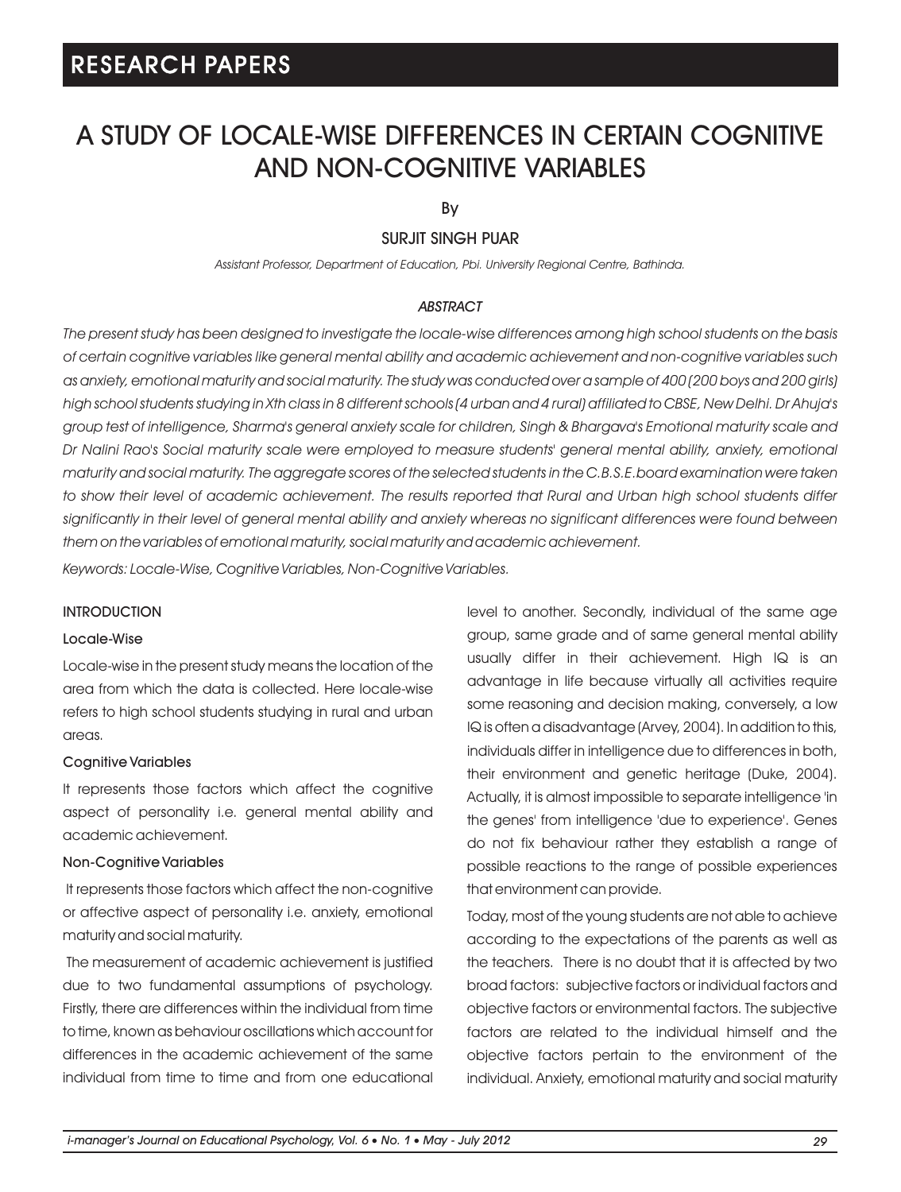# A STUDY OF LOCALE-WISE DIFFERENCES IN CERTAIN COGNITIVE AND NON-COGNITIVE VARIABLES

By

## SURJIT SINGH PUAR

*Assistant Professor, Department of Education, Pbi. University Regional Centre, Bathinda.* 

### *ABSTRACT*

*The present study has been designed to investigate the locale-wise differences among high school students on the basis of certain cognitive variables like general mental ability and academic achievement and non-cognitive variables such as anxiety, emotional maturity and social maturity. The study was conducted over a sample of 400 (200 boys and 200 girls) high school students studying in Xth class in 8 different schools (4 urban and 4 rural) affiliated to CBSE, New Delhi. Dr Ahuja's group test of intelligence, Sharma's general anxiety scale for children, Singh & Bhargava's Emotional maturity scale and Dr Nalini Rao's Social maturity scale were employed to measure students' general mental ability, anxiety, emotional maturity and social maturity. The aggregate scores of the selected students in the C.B.S.E.board examination were taken to show their level of academic achievement. The results reported that Rural and Urban high school students differ significantly in their level of general mental ability and anxiety whereas no significant differences were found between them on the variables of emotional maturity, social maturity and academic achievement.*

*Keywords: Locale-Wise, Cognitive Variables, Non-Cognitive Variables.*

#### INTRODUCTION

#### Locale-Wise

Locale-wise in the present study means the location of the area from which the data is collected. Here locale-wise refers to high school students studying in rural and urban areas.

#### Cognitive Variables

It represents those factors which affect the cognitive aspect of personality i.e. general mental ability and academic achievement.

### Non-Cognitive Variables

It represents those factors which affect the non-cognitive or affective aspect of personality i.e. anxiety, emotional maturity and social maturity.

The measurement of academic achievement is justified due to two fundamental assumptions of psychology. Firstly, there are differences within the individual from time to time, known as behaviour oscillations which account for differences in the academic achievement of the same individual from time to time and from one educational level to another. Secondly, individual of the same age group, same grade and of same general mental ability usually differ in their achievement. High IQ is an advantage in life because virtually all activities require some reasoning and decision making, conversely, a low IQ is often a disadvantage (Arvey, 2004). In addition to this, individuals differ in intelligence due to differences in both, their environment and genetic heritage (Duke, 2004). Actually, it is almost impossible to separate intelligence 'in the genes' from intelligence 'due to experience'. Genes do not fix behaviour rather they establish a range of possible reactions to the range of possible experiences that environment can provide.

Today, most of the young students are not able to achieve according to the expectations of the parents as well as the teachers. There is no doubt that it is affected by two broad factors: subjective factors or individual factors and objective factors or environmental factors. The subjective factors are related to the individual himself and the objective factors pertain to the environment of the individual. Anxiety, emotional maturity and social maturity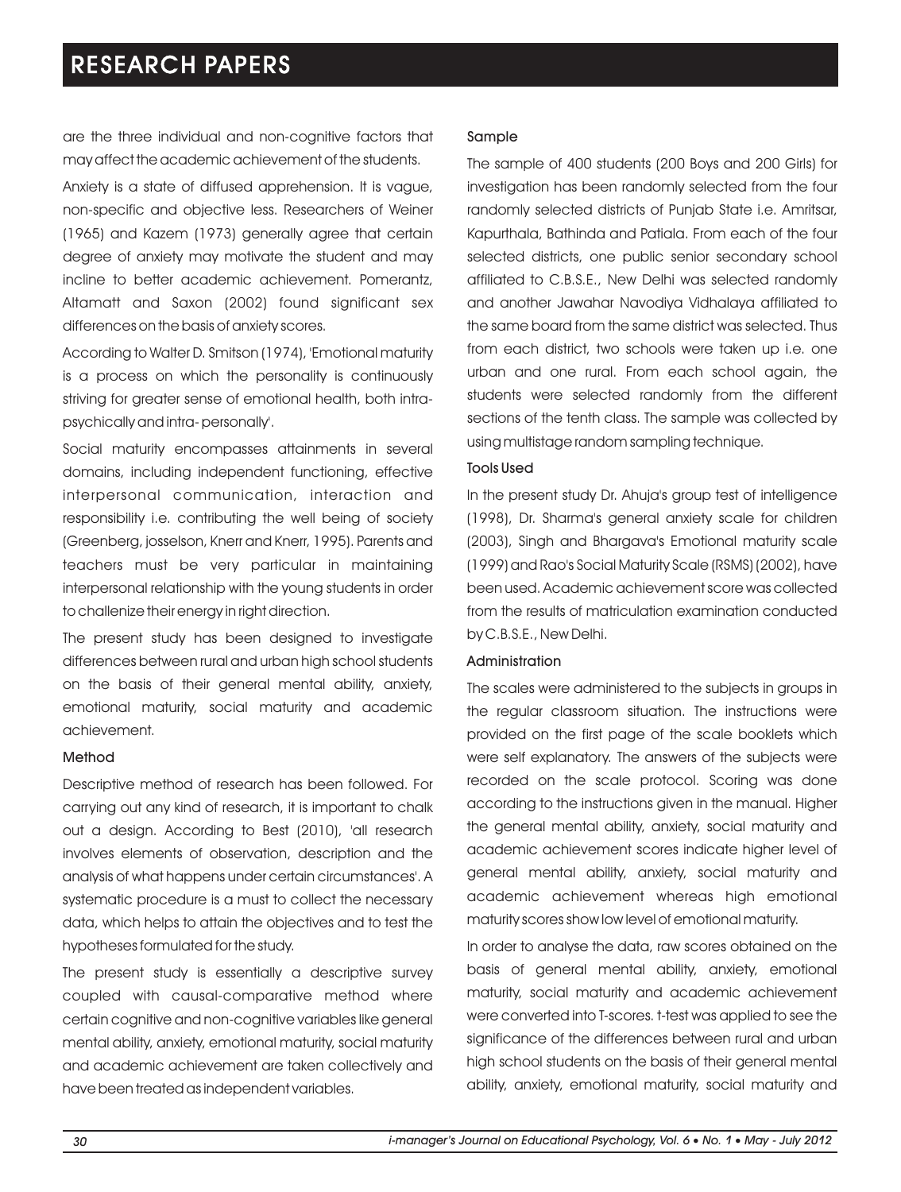are the three individual and non-cognitive factors that may affect the academic achievement of the students. Anxiety is a state of diffused apprehension. It is vague, non-specific and objective less. Researchers of Weiner (1965) and Kazem (1973) generally agree that certain degree of anxiety may motivate the student and may incline to better academic achievement. Pomerantz, Altamatt and Saxon (2002) found significant sex differences on the basis of anxiety scores.

According to Walter D. Smitson (1974), 'Emotional maturity is a process on which the personality is continuously striving for greater sense of emotional health, both intrapsychically and intra- personally'.

Social maturity encompasses attainments in several domains, including independent functioning, effective interpersonal communication, interaction and responsibility i.e. contributing the well being of society (Greenberg, josselson, Knerr and Knerr, 1995). Parents and teachers must be very particular in maintaining interpersonal relationship with the young students in order to challenize their energy in right direction.

The present study has been designed to investigate differences between rural and urban high school students on the basis of their general mental ability, anxiety, emotional maturity, social maturity and academic achievement.

#### Method

Descriptive method of research has been followed. For carrying out any kind of research, it is important to chalk out a design. According to Best (2010), 'all research involves elements of observation, description and the analysis of what happens under certain circumstances'. A systematic procedure is a must to collect the necessary data, which helps to attain the objectives and to test the hypotheses formulated for the study.

The present study is essentially a descriptive survey coupled with causal-comparative method where certain cognitive and non-cognitive variables like general mental ability, anxiety, emotional maturity, social maturity and academic achievement are taken collectively and have been treated as independent variables.

### Sample

The sample of 400 students (200 Boys and 200 Girls) for investigation has been randomly selected from the four randomly selected districts of Punjab State i.e. Amritsar, Kapurthala, Bathinda and Patiala. From each of the four selected districts, one public senior secondary school affiliated to C.B.S.E., New Delhi was selected randomly and another Jawahar Navodiya Vidhalaya affiliated to the same board from the same district was selected. Thus from each district, two schools were taken up i.e. one urban and one rural. From each school again, the students were selected randomly from the different sections of the tenth class. The sample was collected by using multistage random sampling technique.

### Tools Used

In the present study Dr. Ahuja's group test of intelligence (1998), Dr. Sharma's general anxiety scale for children (2003), Singh and Bhargava's Emotional maturity scale (1999) and Rao's Social Maturity Scale (RSMS) (2002), have been used. Academic achievement score was collected from the results of matriculation examination conducted by C.B.S.E., New Delhi.

#### Administration

The scales were administered to the subjects in groups in the regular classroom situation. The instructions were provided on the first page of the scale booklets which were self explanatory. The answers of the subjects were recorded on the scale protocol. Scoring was done according to the instructions given in the manual. Higher the general mental ability, anxiety, social maturity and academic achievement scores indicate higher level of general mental ability, anxiety, social maturity and academic achievement whereas high emotional maturity scores show low level of emotional maturity.

In order to analyse the data, raw scores obtained on the basis of general mental ability, anxiety, emotional maturity, social maturity and academic achievement were converted into T-scores. t-test was applied to see the significance of the differences between rural and urban high school students on the basis of their general mental ability, anxiety, emotional maturity, social maturity and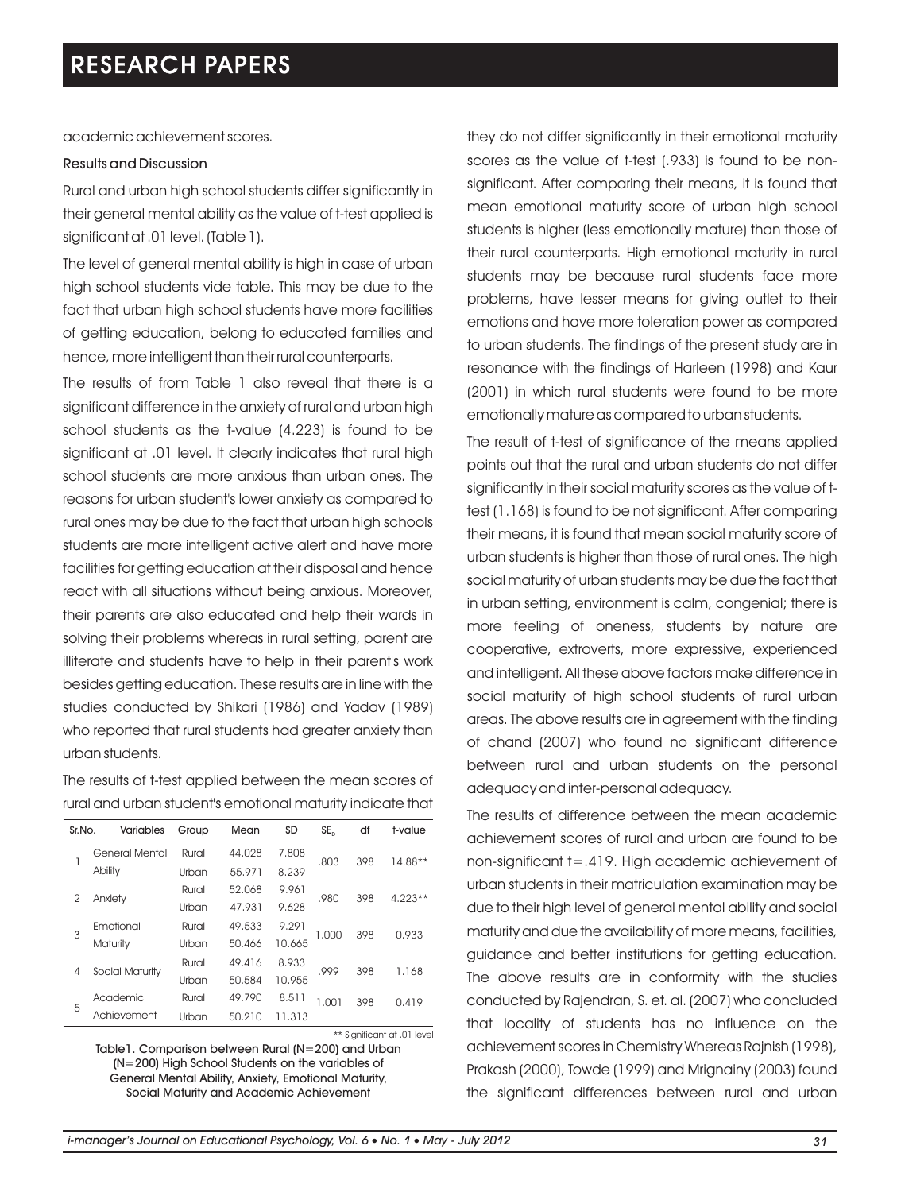academic achievement scores.

### Results and Discussion

Rural and urban high school students differ significantly in their general mental ability as the value of t-test applied is significant at .01 level. (Table 1).

The level of general mental ability is high in case of urban high school students vide table. This may be due to the fact that urban high school students have more facilities of getting education, belong to educated families and hence, more intelligent than their rural counterparts.

The results of from Table 1 also reveal that there is a significant difference in the anxiety of rural and urban high school students as the t-value (4.223) is found to be significant at .01 level. It clearly indicates that rural high school students are more anxious than urban ones. The reasons for urban student's lower anxiety as compared to rural ones may be due to the fact that urban high schools students are more intelligent active alert and have more facilities for getting education at their disposal and hence react with all situations without being anxious. Moreover, their parents are also educated and help their wards in solving their problems whereas in rural setting, parent are illiterate and students have to help in their parent's work besides getting education. These results are in line with the studies conducted by Shikari (1986) and Yadav (1989) who reported that rural students had greater anxiety than urban students.

The results of t-test applied between the mean scores of rural and urban student's emotional maturity indicate that

| Sr.No. | <b>Variables</b> | Group | Mean   | <b>SD</b> | SE <sub>b</sub> | df  | t-value   |
|--------|------------------|-------|--------|-----------|-----------------|-----|-----------|
| 1      | General Mental   | Rural | 44.028 | 7.808     | .803            | 398 | $14.88**$ |
|        | Ability          | Urban | 55.971 | 8.239     |                 |     |           |
| 2      | Anxiety          | Rural | 52.068 | 9.961     | .980            | 398 | $4.223**$ |
|        |                  | Urban | 47.931 | 9.628     |                 |     |           |
| 3      | Emotional        | Rural | 49.533 | 9.291     | 1.000           | 398 | 0.933     |
|        | Maturity         | Urban | 50.466 | 10.665    |                 |     |           |
| 4      | Social Maturity  | Rural | 49.416 | 8.933     | .999            | 398 | 1.168     |
|        |                  | Urban | 50,584 | 10.955    |                 |     |           |
| 5      | Academic         | Rural | 49.790 | 8.511     | 1.001           | 398 | 0.419     |
|        | Achievement      | Urban | 50.210 | 11.313    |                 |     |           |

Table1. Comparison between Rural (N=200) and Urban (N=200) High School Students on the variables of General Mental Ability, Anxiety, Emotional Maturity, Social Maturity and Academic Achievement \*\* Significant at .01 level they do not differ significantly in their emotional maturity scores as the value of t-test (.933) is found to be nonsignificant. After comparing their means, it is found that mean emotional maturity score of urban high school students is higher (less emotionally mature) than those of their rural counterparts. High emotional maturity in rural students may be because rural students face more problems, have lesser means for giving outlet to their emotions and have more toleration power as compared to urban students. The findings of the present study are in resonance with the findings of Harleen (1998) and Kaur (2001) in which rural students were found to be more emotionally mature as compared to urban students.

The result of t-test of significance of the means applied points out that the rural and urban students do not differ significantly in their social maturity scores as the value of ttest (1.168) is found to be not significant. After comparing their means, it is found that mean social maturity score of urban students is higher than those of rural ones. The high social maturity of urban students may be due the fact that in urban setting, environment is calm, congenial; there is more feeling of oneness, students by nature are cooperative, extroverts, more expressive, experienced and intelligent. All these above factors make difference in social maturity of high school students of rural urban areas. The above results are in agreement with the finding of chand (2007) who found no significant difference between rural and urban students on the personal adequacy and inter-personal adequacy.

The results of difference between the mean academic achievement scores of rural and urban are found to be non-significant t=.419. High academic achievement of urban students in their matriculation examination may be due to their high level of general mental ability and social maturity and due the availability of more means, facilities, guidance and better institutions for getting education. The above results are in conformity with the studies conducted by Rajendran, S. et. al. (2007) who concluded that locality of students has no influence on the achievement scores in Chemistry Whereas Rajnish (1998), Prakash (2000), Towde (1999) and Mrignainy (2003) found the significant differences between rural and urban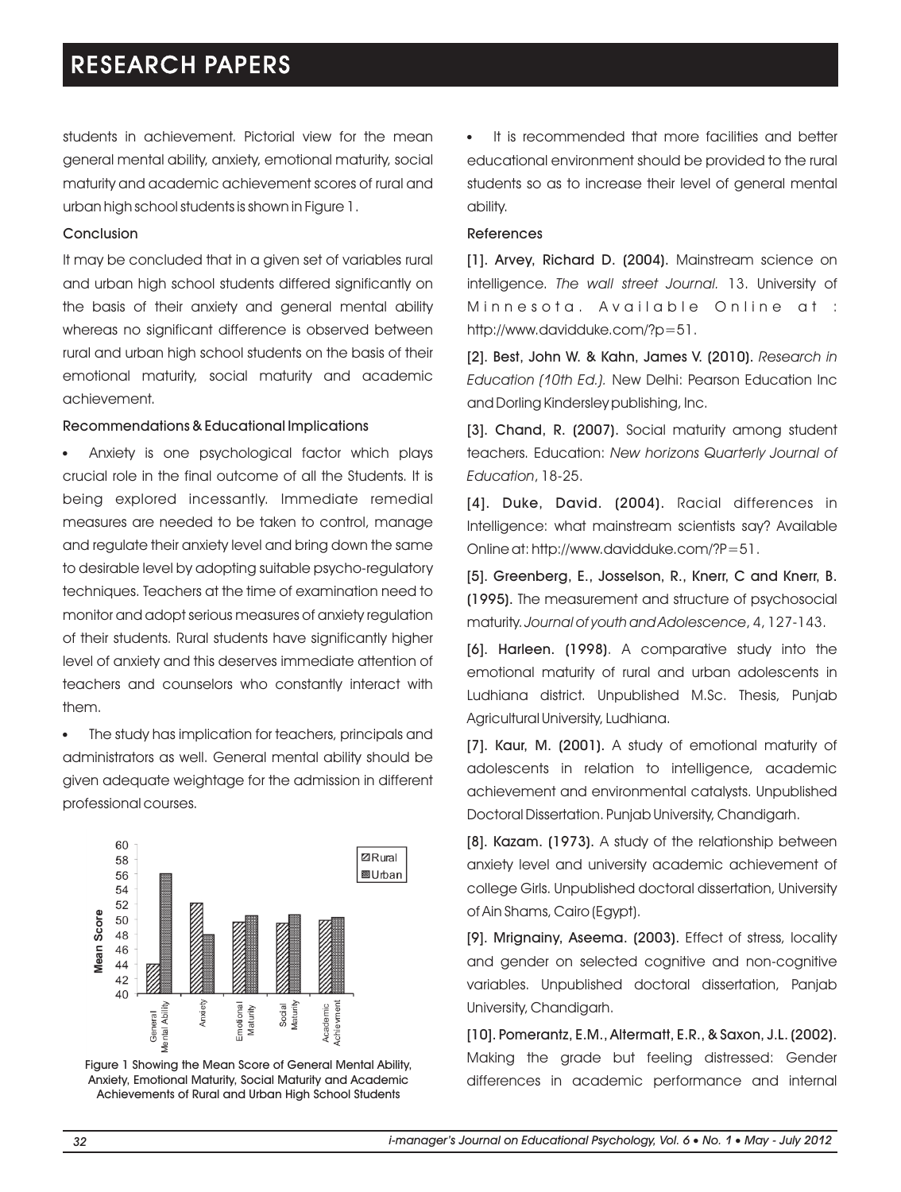students in achievement. Pictorial view for the mean general mental ability, anxiety, emotional maturity, social maturity and academic achievement scores of rural and urban high school students is shown in Figure 1.

### Conclusion

It may be concluded that in a given set of variables rural and urban high school students differed significantly on the basis of their anxiety and general mental ability whereas no significant difference is observed between rural and urban high school students on the basis of their emotional maturity, social maturity and academic achievement.

### Recommendations & Educational Implications

Anxiety is one psychological factor which plays l crucial role in the final outcome of all the Students. It is being explored incessantly. Immediate remedial measures are needed to be taken to control, manage and regulate their anxiety level and bring down the same to desirable level by adopting suitable psycho-regulatory techniques. Teachers at the time of examination need to monitor and adopt serious measures of anxiety regulation of their students. Rural students have significantly higher level of anxiety and this deserves immediate attention of teachers and counselors who constantly interact with them.

The study has implication for teachers, principals and l administrators as well. General mental ability should be given adequate weightage for the admission in different professional courses.



Figure 1 Showing the Mean Score of General Mental Ability, Anxiety, Emotional Maturity, Social Maturity and Academic Achievements of Rural and Urban High School Students

It is recommended that more facilities and better educational environment should be provided to the rural students so as to increase their level of general mental ability.

#### References

[1]. Arvey, Richard D. (2004). Mainstream science on intelligence. *The wall street Journal.* 13. University of Minnesota. Available Online at : http://www.davidduke.com/?p=51.

[2]. Best, John W. & Kahn, James V. (2010). *Research in Education (10th Ed.).* New Delhi: Pearson Education Inc and Dorling Kindersley publishing, Inc.

[3]. Chand, R. (2007). Social maturity among student teachers. Education: *New horizons Quarterly Journal of Education*, 18-25.

[4]. Duke, David. (2004). Racial differences in Intelligence: what mainstream scientists say? Available Online at: http://www.davidduke.com/?P=51.

[5]. Greenberg, E., Josselson, R., Knerr, C and Knerr, B. (1995). The measurement and structure of psychosocial maturity. *Journal of youth and Adolescence*, 4, 127-143.

[6]. Harleen. (1998). A comparative study into the emotional maturity of rural and urban adolescents in Ludhiana district. Unpublished M.Sc. Thesis, Punjab Agricultural University, Ludhiana.

[7]. Kaur, M. (2001). A study of emotional maturity of adolescents in relation to intelligence, academic achievement and environmental catalysts. Unpublished Doctoral Dissertation. Punjab University, Chandigarh.

[8]. Kazam. (1973). A study of the relationship between anxiety level and university academic achievement of college Girls. Unpublished doctoral dissertation, University of Ain Shams, Cairo (Egypt).

[9]. Mrignainy, Aseema. (2003). Effect of stress, locality and gender on selected cognitive and non-cognitive variables. Unpublished doctoral dissertation, Panjab University, Chandigarh.

[10]. Pomerantz, E.M., Altermatt, E.R., & Saxon, J.L. (2002). Making the grade but feeling distressed: Gender differences in academic performance and internal